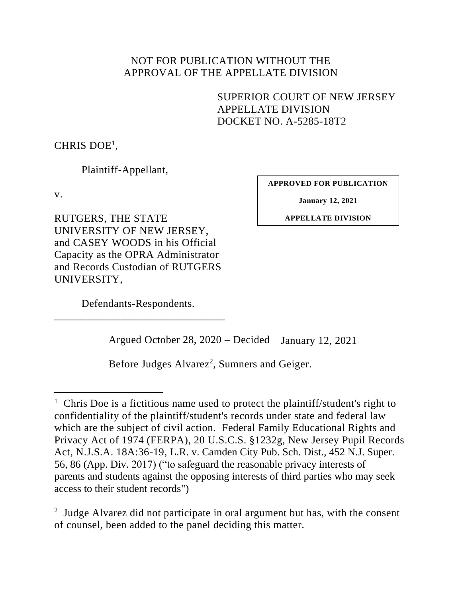## NOT FOR PUBLICATION WITHOUT THE APPROVAL OF THE APPELLATE DIVISION

SUPERIOR COURT OF NEW JERSEY APPELLATE DIVISION DOCKET NO. A-5285-18T2

CHRIS DOE<sup>1</sup>,

Plaintiff-Appellant,

v.

**APPROVED FOR PUBLICATION**

**January 12, 2021**

**APPELLATE DIVISION**

RUTGERS, THE STATE UNIVERSITY OF NEW JERSEY, and CASEY WOODS in his Official Capacity as the OPRA Administrator and Records Custodian of RUTGERS UNIVERSITY,

Defendants-Respondents. \_\_\_\_\_\_\_\_\_\_\_\_\_\_\_\_\_\_\_\_\_\_\_\_\_\_\_\_\_\_\_

Argued October 28, 2020 – Decided January 12, 2021

Before Judges Alvarez<sup>2</sup>, Sumners and Geiger.

<sup>2</sup> Judge Alvarez did not participate in oral argument but has, with the consent of counsel, been added to the panel deciding this matter.

<sup>&</sup>lt;sup>1</sup> Chris Doe is a fictitious name used to protect the plaintiff/student's right to confidentiality of the plaintiff/student's records under state and federal law which are the subject of civil action. Federal Family Educational Rights and Privacy Act of 1974 (FERPA), 20 U.S.C.S. §1232g, New Jersey Pupil Records Act, N.J.S.A. 18A:36-19, L.R. v. Camden City Pub. Sch. Dist., 452 N.J. Super. 56, 86 (App. Div. 2017) ("to safeguard the reasonable privacy interests of parents and students against the opposing interests of third parties who may seek access to their student records")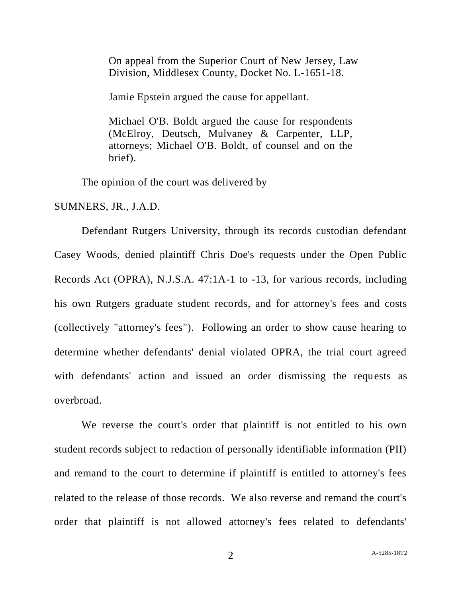On appeal from the Superior Court of New Jersey, Law Division, Middlesex County, Docket No. L-1651-18.

Jamie Epstein argued the cause for appellant.

Michael O'B. Boldt argued the cause for respondents (McElroy, Deutsch, Mulvaney & Carpenter, LLP, attorneys; Michael O'B. Boldt, of counsel and on the brief).

The opinion of the court was delivered by

SUMNERS, JR., J.A.D.

Defendant Rutgers University, through its records custodian defendant Casey Woods, denied plaintiff Chris Doe's requests under the Open Public Records Act (OPRA), N.J.S.A. 47:1A-1 to -13, for various records, including his own Rutgers graduate student records, and for attorney's fees and costs (collectively "attorney's fees"). Following an order to show cause hearing to determine whether defendants' denial violated OPRA, the trial court agreed with defendants' action and issued an order dismissing the requests as overbroad.

We reverse the court's order that plaintiff is not entitled to his own student records subject to redaction of personally identifiable information (PII) and remand to the court to determine if plaintiff is entitled to attorney's fees related to the release of those records. We also reverse and remand the court's order that plaintiff is not allowed attorney's fees related to defendants'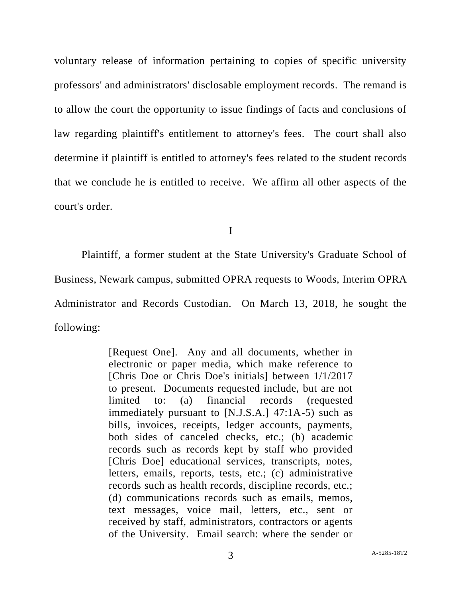voluntary release of information pertaining to copies of specific university professors' and administrators' disclosable employment records. The remand is to allow the court the opportunity to issue findings of facts and conclusions of law regarding plaintiff's entitlement to attorney's fees. The court shall also determine if plaintiff is entitled to attorney's fees related to the student records that we conclude he is entitled to receive. We affirm all other aspects of the court's order.

I

Plaintiff, a former student at the State University's Graduate School of Business, Newark campus, submitted OPRA requests to Woods, Interim OPRA Administrator and Records Custodian. On March 13, 2018, he sought the following:

> [Request One]. Any and all documents, whether in electronic or paper media, which make reference to [Chris Doe or Chris Doe's initials] between 1/1/2017 to present. Documents requested include, but are not limited to: (a) financial records (requested immediately pursuant to [N.J.S.A.] 47:1A-5) such as bills, invoices, receipts, ledger accounts, payments, both sides of canceled checks, etc.; (b) academic records such as records kept by staff who provided [Chris Doe] educational services, transcripts, notes, letters, emails, reports, tests, etc.; (c) administrative records such as health records, discipline records, etc.; (d) communications records such as emails, memos, text messages, voice mail, letters, etc., sent or received by staff, administrators, contractors or agents of the University. Email search: where the sender or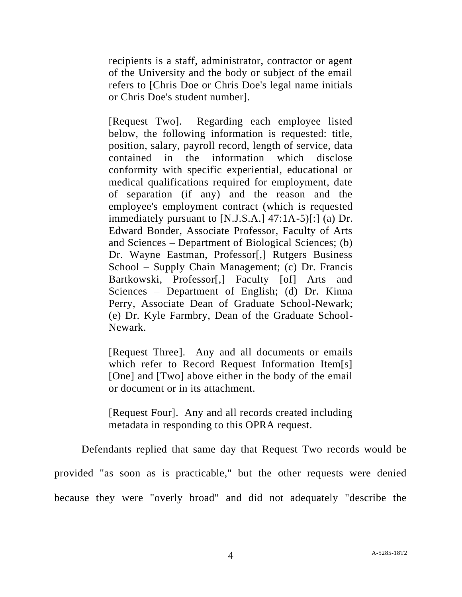recipients is a staff, administrator, contractor or agent of the University and the body or subject of the email refers to [Chris Doe or Chris Doe's legal name initials or Chris Doe's student number].

[Request Two]. Regarding each employee listed below, the following information is requested: title, position, salary, payroll record, length of service, data contained in the information which disclose conformity with specific experiential, educational or medical qualifications required for employment, date of separation (if any) and the reason and the employee's employment contract (which is requested immediately pursuant to [N.J.S.A.] 47:1A-5)[:] (a) Dr. Edward Bonder, Associate Professor, Faculty of Arts and Sciences – Department of Biological Sciences; (b) Dr. Wayne Eastman, Professor[,] Rutgers Business School – Supply Chain Management; (c) Dr. Francis Bartkowski, Professor[,] Faculty [of] Arts and Sciences – Department of English; (d) Dr. Kinna Perry, Associate Dean of Graduate School-Newark; (e) Dr. Kyle Farmbry, Dean of the Graduate School-Newark.

[Request Three]. Any and all documents or emails which refer to Record Request Information Item[s] [One] and [Two] above either in the body of the email or document or in its attachment.

[Request Four]. Any and all records created including metadata in responding to this OPRA request.

Defendants replied that same day that Request Two records would be provided "as soon as is practicable," but the other requests were denied because they were "overly broad" and did not adequately "describe the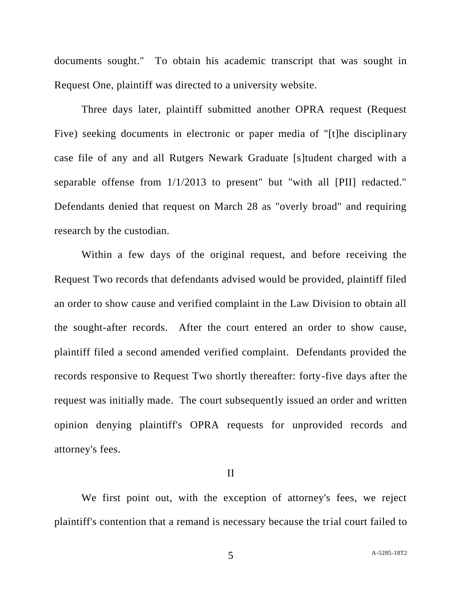documents sought." To obtain his academic transcript that was sought in Request One, plaintiff was directed to a university website.

Three days later, plaintiff submitted another OPRA request (Request Five) seeking documents in electronic or paper media of "[t]he disciplinary case file of any and all Rutgers Newark Graduate [s]tudent charged with a separable offense from 1/1/2013 to present" but "with all [PII] redacted." Defendants denied that request on March 28 as "overly broad" and requiring research by the custodian.

Within a few days of the original request, and before receiving the Request Two records that defendants advised would be provided, plaintiff filed an order to show cause and verified complaint in the Law Division to obtain all the sought-after records. After the court entered an order to show cause, plaintiff filed a second amended verified complaint. Defendants provided the records responsive to Request Two shortly thereafter: forty-five days after the request was initially made. The court subsequently issued an order and written opinion denying plaintiff's OPRA requests for unprovided records and attorney's fees.

## II

We first point out, with the exception of attorney's fees, we reject plaintiff's contention that a remand is necessary because the trial court failed to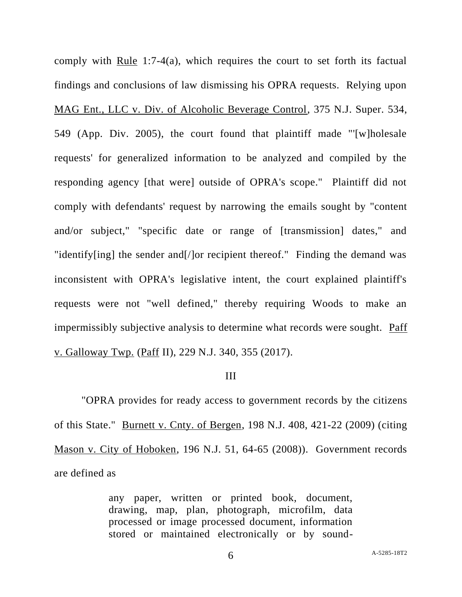comply with Rule 1:7-4(a), which requires the court to set forth its factual findings and conclusions of law dismissing his OPRA requests. Relying upon MAG Ent., LLC v. Div. of Alcoholic Beverage Control, 375 N.J. Super. 534, 549 (App. Div. 2005), the court found that plaintiff made "'[w]holesale requests' for generalized information to be analyzed and compiled by the responding agency [that were] outside of OPRA's scope." Plaintiff did not comply with defendants' request by narrowing the emails sought by "content and/or subject," "specific date or range of [transmission] dates," and "identify[ing] the sender and[/]or recipient thereof." Finding the demand was inconsistent with OPRA's legislative intent, the court explained plaintiff's requests were not "well defined," thereby requiring Woods to make an impermissibly subjective analysis to determine what records were sought. Paff v. Galloway Twp. (Paff II), 229 N.J. 340, 355 (2017).

## III

"OPRA provides for ready access to government records by the citizens of this State." Burnett v. Cnty. of Bergen, 198 N.J. 408, 421-22 (2009) (citing Mason v. City of Hoboken, 196 N.J. 51, 64-65 (2008)). Government records are defined as

> any paper, written or printed book, document, drawing, map, plan, photograph, microfilm, data processed or image processed document, information stored or maintained electronically or by sound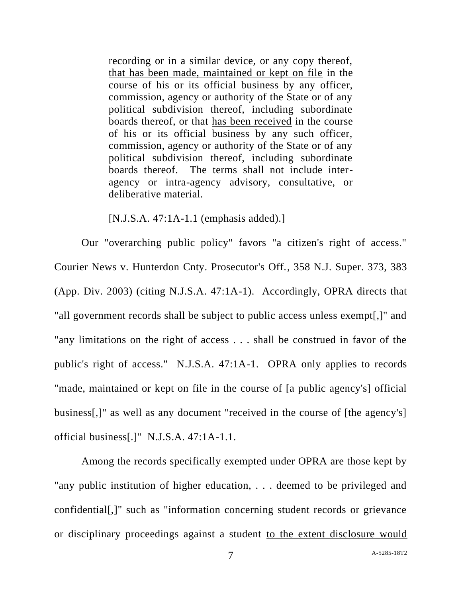recording or in a similar device, or any copy thereof, that has been made, maintained or kept on file in the course of his or its official business by any officer, commission, agency or authority of the State or of any political subdivision thereof, including subordinate boards thereof, or that has been received in the course of his or its official business by any such officer, commission, agency or authority of the State or of any political subdivision thereof, including subordinate boards thereof. The terms shall not include interagency or intra-agency advisory, consultative, or deliberative material.

[N.J.S.A. 47:1A-1.1 (emphasis added).]

Our "overarching public policy" favors "a citizen's right of access." Courier News v. Hunterdon Cnty. Prosecutor's Off., 358 N.J. Super. 373, 383 (App. Div. 2003) (citing N.J.S.A. 47:1A-1). Accordingly, OPRA directs that "all government records shall be subject to public access unless exempt[,]" and "any limitations on the right of access . . . shall be construed in favor of the public's right of access." N.J.S.A. 47:1A-1. OPRA only applies to records "made, maintained or kept on file in the course of [a public agency's] official business[,]" as well as any document "received in the course of [the agency's] official business[.]" N.J.S.A. 47:1A-1.1.

Among the records specifically exempted under OPRA are those kept by "any public institution of higher education, . . . deemed to be privileged and confidential[,]" such as "information concerning student records or grievance or disciplinary proceedings against a student to the extent disclosure would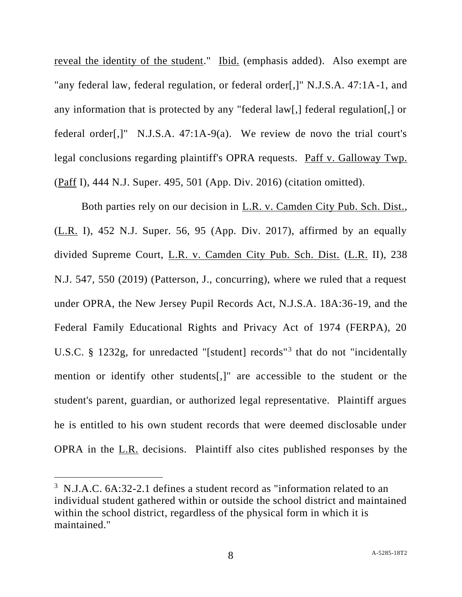reveal the identity of the student." Ibid. (emphasis added). Also exempt are "any federal law, federal regulation, or federal order[,]" N.J.S.A. 47:1A-1, and any information that is protected by any "federal law[,] federal regulation[,] or federal order[,]" N.J.S.A. 47:1A-9(a). We review de novo the trial court's legal conclusions regarding plaintiff's OPRA requests. Paff v. Galloway Twp. (Paff I), 444 N.J. Super. 495, 501 (App. Div. 2016) (citation omitted).

Both parties rely on our decision in L.R. v. Camden City Pub. Sch. Dist., (L.R. I), 452 N.J. Super. 56, 95 (App. Div. 2017), affirmed by an equally divided Supreme Court, L.R. v. Camden City Pub. Sch. Dist. (L.R. II), 238 N.J. 547, 550 (2019) (Patterson, J., concurring), where we ruled that a request under OPRA, the New Jersey Pupil Records Act, N.J.S.A. 18A:36-19, and the Federal Family Educational Rights and Privacy Act of 1974 (FERPA), 20 U.S.C. § 1232g, for unredacted "[student] records"<sup>3</sup> that do not "incidentally mention or identify other students[,]" are accessible to the student or the student's parent, guardian, or authorized legal representative. Plaintiff argues he is entitled to his own student records that were deemed disclosable under OPRA in the L.R. decisions. Plaintiff also cites published responses by the

<sup>&</sup>lt;sup>3</sup> N.J.A.C. 6A:32-2.1 defines a student record as "information related to an individual student gathered within or outside the school district and maintained within the school district, regardless of the physical form in which it is maintained."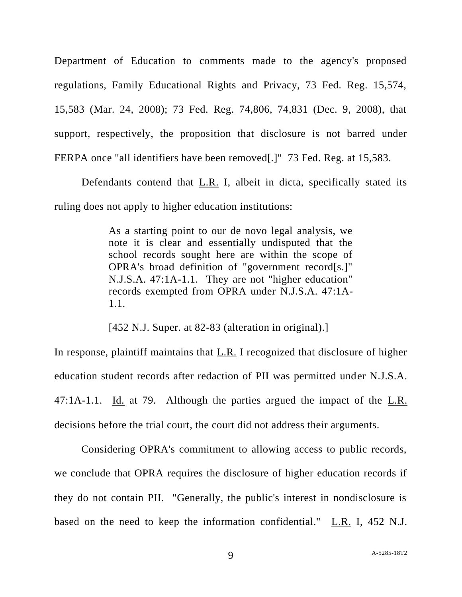Department of Education to comments made to the agency's proposed regulations, Family Educational Rights and Privacy, 73 Fed. Reg. 15,574, 15,583 (Mar. 24, 2008); 73 Fed. Reg. 74,806, 74,831 (Dec. 9, 2008), that support, respectively, the proposition that disclosure is not barred under FERPA once "all identifiers have been removed[.]" 73 Fed. Reg. at 15,583.

Defendants contend that L.R. I, albeit in dicta, specifically stated its ruling does not apply to higher education institutions:

> As a starting point to our de novo legal analysis, we note it is clear and essentially undisputed that the school records sought here are within the scope of OPRA's broad definition of "government record[s.]" N.J.S.A. 47:1A-1.1. They are not "higher education" records exempted from OPRA under N.J.S.A. 47:1A-1.1.

[452 N.J. Super. at 82-83 (alteration in original).]

In response, plaintiff maintains that L.R. I recognized that disclosure of higher education student records after redaction of PII was permitted under N.J.S.A. 47:1A-1.1. Id. at 79. Although the parties argued the impact of the L.R. decisions before the trial court, the court did not address their arguments.

Considering OPRA's commitment to allowing access to public records, we conclude that OPRA requires the disclosure of higher education records if they do not contain PII. "Generally, the public's interest in nondisclosure is based on the need to keep the information confidential." L.R. I, 452 N.J.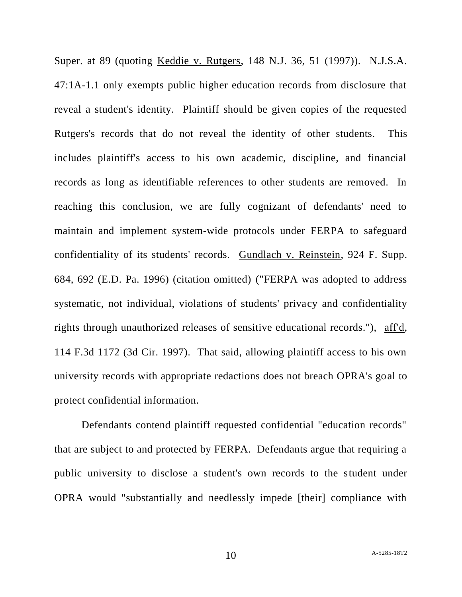Super. at 89 (quoting Keddie v. Rutgers, 148 N.J. 36, 51 (1997)). N.J.S.A. 47:1A-1.1 only exempts public higher education records from disclosure that reveal a student's identity. Plaintiff should be given copies of the requested Rutgers's records that do not reveal the identity of other students. This includes plaintiff's access to his own academic, discipline, and financial records as long as identifiable references to other students are removed. In reaching this conclusion, we are fully cognizant of defendants' need to maintain and implement system-wide protocols under FERPA to safeguard confidentiality of its students' records. Gundlach v. Reinstein, 924 F. Supp. 684, 692 (E.D. Pa. 1996) (citation omitted) ("FERPA was adopted to address systematic, not individual, violations of students' privacy and confidentiality rights through unauthorized releases of sensitive educational records."), aff'd, 114 F.3d 1172 (3d Cir. 1997). That said, allowing plaintiff access to his own university records with appropriate redactions does not breach OPRA's goal to protect confidential information.

Defendants contend plaintiff requested confidential "education records" that are subject to and protected by FERPA. Defendants argue that requiring a public university to disclose a student's own records to the student under OPRA would "substantially and needlessly impede [their] compliance with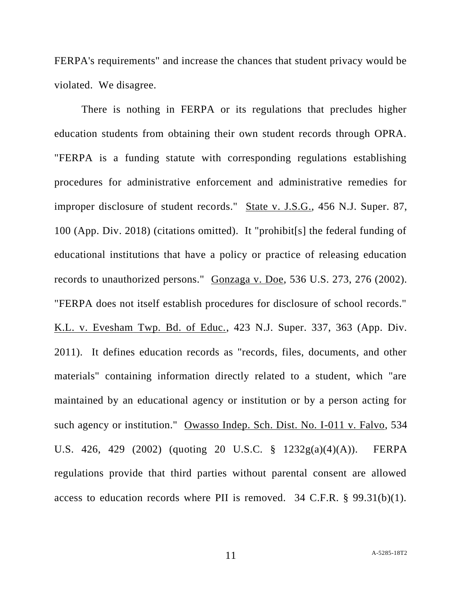FERPA's requirements" and increase the chances that student privacy would be violated. We disagree.

There is nothing in FERPA or its regulations that precludes higher education students from obtaining their own student records through OPRA. "FERPA is a funding statute with corresponding regulations establishing procedures for administrative enforcement and administrative remedies for improper disclosure of student records." State v. J.S.G., 456 N.J. Super. 87, 100 (App. Div. 2018) (citations omitted). It "prohibit[s] the federal funding of educational institutions that have a policy or practice of releasing education records to unauthorized persons." Gonzaga v. Doe, 536 U.S. 273, 276 (2002). "FERPA does not itself establish procedures for disclosure of school records." K.L. v. Evesham Twp. Bd. of Educ., 423 N.J. Super. 337, 363 (App. Div. 2011). It defines education records as "records, files, documents, and other materials" containing information directly related to a student, which "are maintained by an educational agency or institution or by a person acting for such agency or institution." Owasso Indep. Sch. Dist. No. I-011 v. Falvo, 534 U.S. 426, 429 (2002) (quoting 20 U.S.C. § 1232g(a)(4)(A)). FERPA regulations provide that third parties without parental consent are allowed access to education records where PII is removed. 34 C.F.R. § 99.31(b)(1).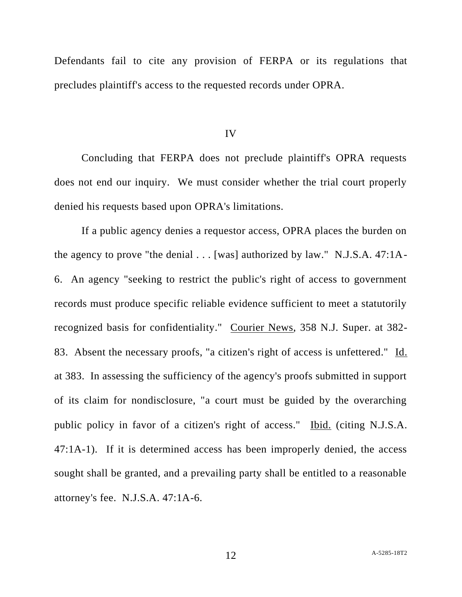Defendants fail to cite any provision of FERPA or its regulations that precludes plaintiff's access to the requested records under OPRA.

IV

Concluding that FERPA does not preclude plaintiff's OPRA requests does not end our inquiry. We must consider whether the trial court properly denied his requests based upon OPRA's limitations.

If a public agency denies a requestor access, OPRA places the burden on the agency to prove "the denial . . . [was] authorized by law." N.J.S.A. 47:1A-6. An agency "seeking to restrict the public's right of access to government records must produce specific reliable evidence sufficient to meet a statutorily recognized basis for confidentiality." Courier News, 358 N.J. Super. at 382- 83. Absent the necessary proofs, "a citizen's right of access is unfettered." Id. at 383. In assessing the sufficiency of the agency's proofs submitted in support of its claim for nondisclosure, "a court must be guided by the overarching public policy in favor of a citizen's right of access." Ibid. (citing N.J.S.A. 47:1A-1). If it is determined access has been improperly denied, the access sought shall be granted, and a prevailing party shall be entitled to a reasonable attorney's fee. N.J.S.A. 47:1A-6.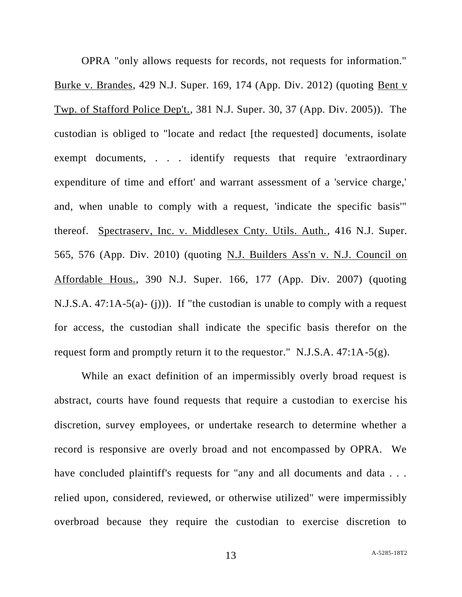OPRA "only allows requests for records, not requests for information." Burke v. Brandes, 429 N.J. Super. 169, 174 (App. Div. 2012) (quoting Bent v Twp. of Stafford Police Dep't., 381 N.J. Super. 30, 37 (App. Div. 2005)). The custodian is obliged to "locate and redact [the requested] documents, isolate exempt documents, . . . identify requests that require 'extraordinary expenditure of time and effort' and warrant assessment of a 'service charge,' and, when unable to comply with a request, 'indicate the specific basis'" thereof. Spectraserv, Inc. v. Middlesex Cnty. Utils. Auth., 416 N.J. Super. 565, 576 (App. Div. 2010) (quoting N.J. Builders Ass'n v. N.J. Council on Affordable Hous., 390 N.J. Super. 166, 177 (App. Div. 2007) (quoting N.J.S.A. 47:1A-5(a)- (j))). If "the custodian is unable to comply with a request for access, the custodian shall indicate the specific basis therefor on the request form and promptly return it to the requestor." N.J.S.A. 47:1A-5(g).

While an exact definition of an impermissibly overly broad request is abstract, courts have found requests that require a custodian to exercise his discretion, survey employees, or undertake research to determine whether a record is responsive are overly broad and not encompassed by OPRA. We have concluded plaintiff's requests for "any and all documents and data . . . relied upon, considered, reviewed, or otherwise utilized" were impermissibly overbroad because they require the custodian to exercise discretion to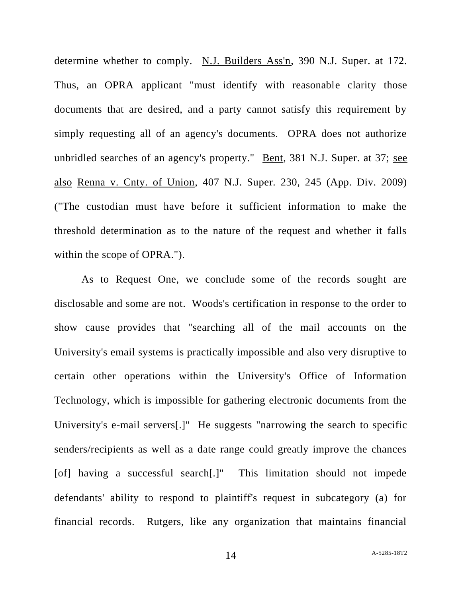determine whether to comply. N.J. Builders Ass'n, 390 N.J. Super. at 172. Thus, an OPRA applicant "must identify with reasonable clarity those documents that are desired, and a party cannot satisfy this requirement by simply requesting all of an agency's documents. OPRA does not authorize unbridled searches of an agency's property." Bent, 381 N.J. Super. at 37; see also Renna v. Cnty. of Union, 407 N.J. Super. 230, 245 (App. Div. 2009) ("The custodian must have before it sufficient information to make the threshold determination as to the nature of the request and whether it falls within the scope of OPRA.").

As to Request One, we conclude some of the records sought are disclosable and some are not. Woods's certification in response to the order to show cause provides that "searching all of the mail accounts on the University's email systems is practically impossible and also very disruptive to certain other operations within the University's Office of Information Technology, which is impossible for gathering electronic documents from the University's e-mail servers[.]" He suggests "narrowing the search to specific senders/recipients as well as a date range could greatly improve the chances [of] having a successful search[.]" This limitation should not impede defendants' ability to respond to plaintiff's request in subcategory (a) for financial records. Rutgers, like any organization that maintains financial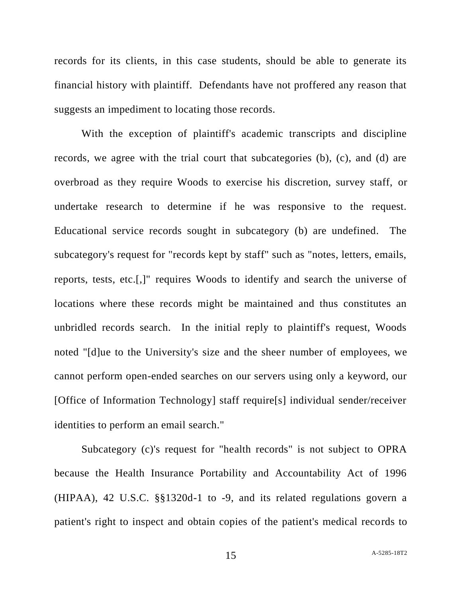records for its clients, in this case students, should be able to generate its financial history with plaintiff. Defendants have not proffered any reason that suggests an impediment to locating those records.

With the exception of plaintiff's academic transcripts and discipline records, we agree with the trial court that subcategories (b), (c), and (d) are overbroad as they require Woods to exercise his discretion, survey staff, or undertake research to determine if he was responsive to the request. Educational service records sought in subcategory (b) are undefined. The subcategory's request for "records kept by staff" such as "notes, letters, emails, reports, tests, etc.[,]" requires Woods to identify and search the universe of locations where these records might be maintained and thus constitutes an unbridled records search. In the initial reply to plaintiff's request, Woods noted "[d]ue to the University's size and the sheer number of employees, we cannot perform open-ended searches on our servers using only a keyword, our [Office of Information Technology] staff require[s] individual sender/receiver identities to perform an email search."

Subcategory (c)'s request for "health records" is not subject to OPRA because the Health Insurance Portability and Accountability Act of 1996 (HIPAA), 42 U.S.C. §§1320d-1 to -9, and its related regulations govern a patient's right to inspect and obtain copies of the patient's medical records to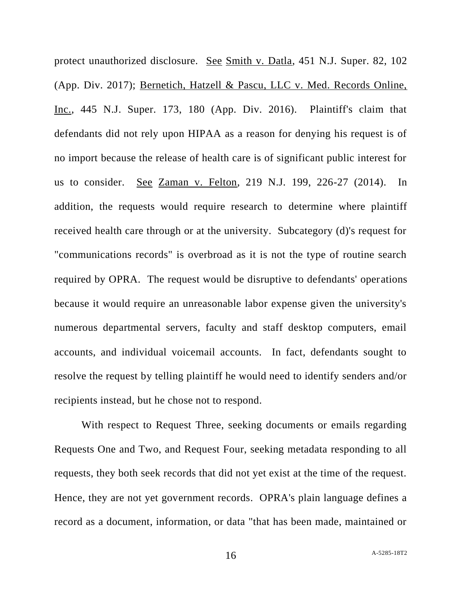protect unauthorized disclosure. See Smith v. Datla, 451 N.J. Super. 82, 102 (App. Div. 2017); Bernetich, Hatzell & Pascu, LLC v. Med. Records Online, Inc., 445 N.J. Super. 173, 180 (App. Div. 2016). Plaintiff's claim that defendants did not rely upon HIPAA as a reason for denying his request is of no import because the release of health care is of significant public interest for us to consider. See Zaman v. Felton, 219 N.J. 199, 226-27 (2014). In addition, the requests would require research to determine where plaintiff received health care through or at the university. Subcategory (d)'s request for "communications records" is overbroad as it is not the type of routine search required by OPRA. The request would be disruptive to defendants' operations because it would require an unreasonable labor expense given the university's numerous departmental servers, faculty and staff desktop computers, email accounts, and individual voicemail accounts. In fact, defendants sought to resolve the request by telling plaintiff he would need to identify senders and/or recipients instead, but he chose not to respond.

With respect to Request Three, seeking documents or emails regarding Requests One and Two, and Request Four, seeking metadata responding to all requests, they both seek records that did not yet exist at the time of the request. Hence, they are not yet government records. OPRA's plain language defines a record as a document, information, or data "that has been made, maintained or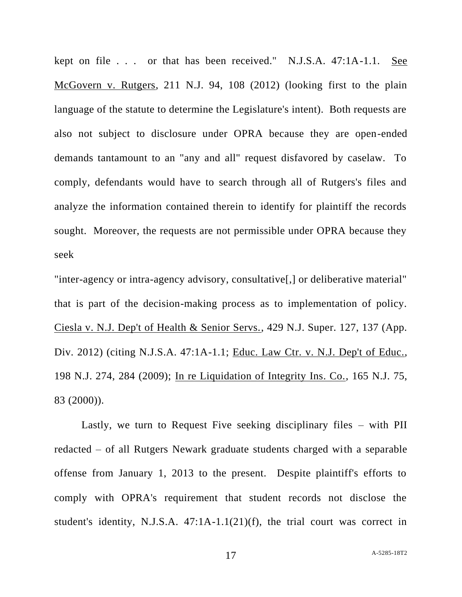kept on file . . . or that has been received." N.J.S.A. 47:1A-1.1. See McGovern v. Rutgers, 211 N.J. 94, 108 (2012) (looking first to the plain language of the statute to determine the Legislature's intent). Both requests are also not subject to disclosure under OPRA because they are open-ended demands tantamount to an "any and all" request disfavored by caselaw. To comply, defendants would have to search through all of Rutgers's files and analyze the information contained therein to identify for plaintiff the records sought. Moreover, the requests are not permissible under OPRA because they seek

"inter-agency or intra-agency advisory, consultative[,] or deliberative material" that is part of the decision-making process as to implementation of policy. Ciesla v. N.J. Dep't of Health & Senior Servs., 429 N.J. Super. 127, 137 (App. Div. 2012) (citing N.J.S.A. 47:1A-1.1; Educ. Law Ctr. v. N.J. Dep't of Educ., 198 N.J. 274, 284 (2009); In re Liquidation of Integrity Ins. Co., 165 N.J. 75, 83 (2000)).

Lastly, we turn to Request Five seeking disciplinary files – with PII redacted – of all Rutgers Newark graduate students charged with a separable offense from January 1, 2013 to the present. Despite plaintiff's efforts to comply with OPRA's requirement that student records not disclose the student's identity, N.J.S.A. 47:1A-1.1(21)(f), the trial court was correct in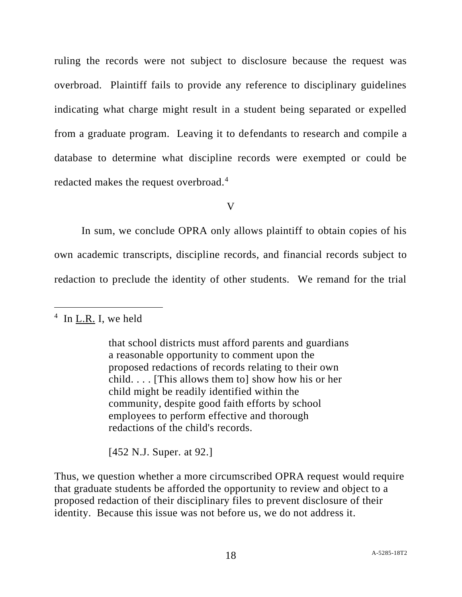ruling the records were not subject to disclosure because the request was overbroad. Plaintiff fails to provide any reference to disciplinary guidelines indicating what charge might result in a student being separated or expelled from a graduate program. Leaving it to defendants to research and compile a database to determine what discipline records were exempted or could be redacted makes the request overbroad.<sup>4</sup>

V

In sum, we conclude OPRA only allows plaintiff to obtain copies of his own academic transcripts, discipline records, and financial records subject to redaction to preclude the identity of other students. We remand for the trial

 $4$  In L.R. I, we held

that school districts must afford parents and guardians a reasonable opportunity to comment upon the proposed redactions of records relating to their own child. . . . [This allows them to] show how his or her child might be readily identified within the community, despite good faith efforts by school employees to perform effective and thorough redactions of the child's records.

[452 N.J. Super. at 92.]

Thus, we question whether a more circumscribed OPRA request would require that graduate students be afforded the opportunity to review and object to a proposed redaction of their disciplinary files to prevent disclosure of their identity. Because this issue was not before us, we do not address it.